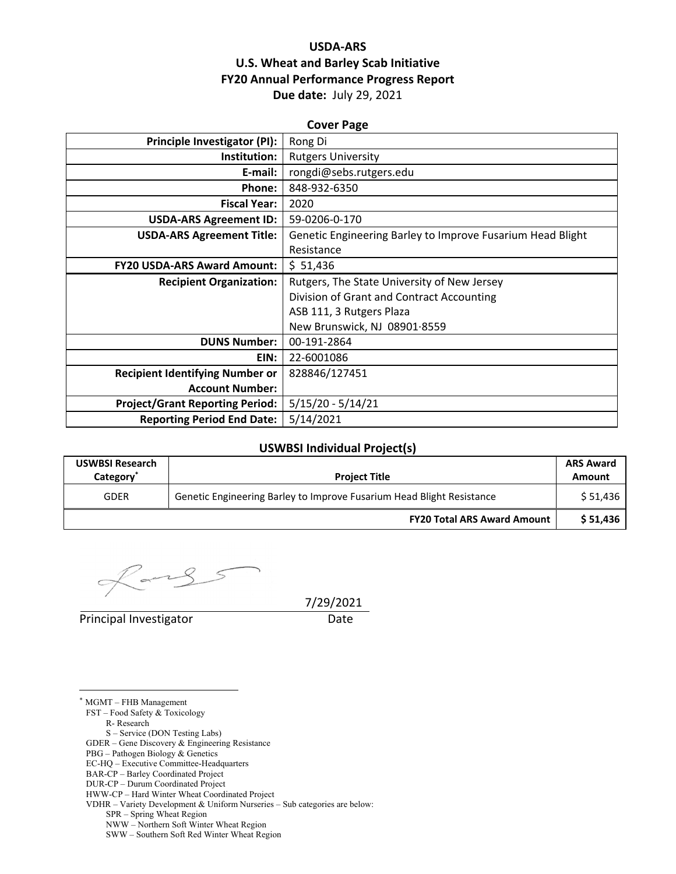## **USDA‐ARS U.S. Wheat and Barley Scab Initiative FY20 Annual Performance Progress Report Due date:** July 29, 2021

| <b>Cover Page</b>                      |                                                            |  |  |
|----------------------------------------|------------------------------------------------------------|--|--|
| <b>Principle Investigator (PI):</b>    | Rong Di                                                    |  |  |
| Institution:                           | <b>Rutgers University</b>                                  |  |  |
| E-mail:                                | rongdi@sebs.rutgers.edu                                    |  |  |
| <b>Phone:</b>                          | 848-932-6350                                               |  |  |
| <b>Fiscal Year:</b>                    | 2020                                                       |  |  |
| <b>USDA-ARS Agreement ID:</b>          | 59-0206-0-170                                              |  |  |
| <b>USDA-ARS Agreement Title:</b>       | Genetic Engineering Barley to Improve Fusarium Head Blight |  |  |
|                                        | Resistance                                                 |  |  |
| <b>FY20 USDA-ARS Award Amount:</b>     | \$ 51,436                                                  |  |  |
| <b>Recipient Organization:</b>         | Rutgers, The State University of New Jersey                |  |  |
|                                        | Division of Grant and Contract Accounting                  |  |  |
|                                        | ASB 111, 3 Rutgers Plaza                                   |  |  |
|                                        | New Brunswick, NJ 08901.8559                               |  |  |
| <b>DUNS Number:</b>                    | 00-191-2864                                                |  |  |
| EIN:                                   | 22-6001086                                                 |  |  |
| <b>Recipient Identifying Number or</b> | 828846/127451                                              |  |  |
| <b>Account Number:</b>                 |                                                            |  |  |
| <b>Project/Grant Reporting Period:</b> | $5/15/20 - 5/14/21$                                        |  |  |
| <b>Reporting Period End Date:</b>      | 5/14/2021                                                  |  |  |

## **USWBSI Individual Project(s)**

| <b>USWBSI Research</b><br>Category <sup>®</sup> | <b>Project Title</b>                                                  | <b>ARS Award</b><br>Amount |
|-------------------------------------------------|-----------------------------------------------------------------------|----------------------------|
| <b>GDER</b>                                     | Genetic Engineering Barley to Improve Fusarium Head Blight Resistance |                            |
|                                                 | <b>FY20 Total ARS Award Amount</b>                                    | \$51,436                   |

Principal Investigator **Date** 

 $\overline{a}$ 

7/29/2021

\* MGMT – FHB Management FST – Food Safety & Toxicology R- Research S – Service (DON Testing Labs) GDER – Gene Discovery & Engineering Resistance PBG – Pathogen Biology & Genetics EC-HQ – Executive Committee-Headquarters BAR-CP – Barley Coordinated Project DUR-CP – Durum Coordinated Project HWW-CP – Hard Winter Wheat Coordinated Project VDHR – Variety Development & Uniform Nurseries – Sub categories are below: SPR – Spring Wheat Region NWW – Northern Soft Winter Wheat Region

SWW – Southern Soft Red Winter Wheat Region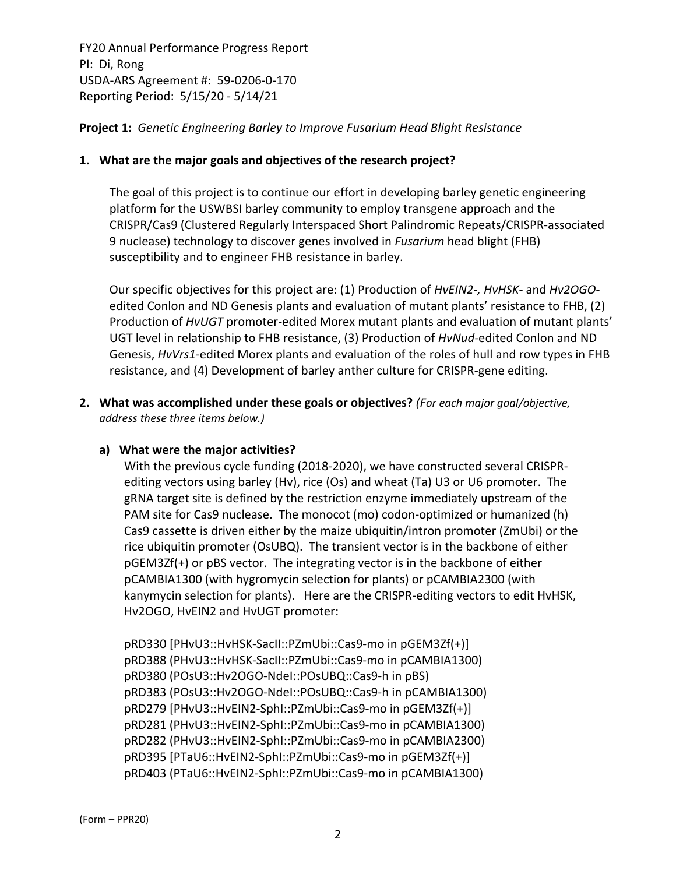## **Project 1:** *Genetic Engineering Barley to Improve Fusarium Head Blight Resistance*

#### **1. What are the major goals and objectives of the research project?**

The goal of this project is to continue our effort in developing barley genetic engineering platform for the USWBSI barley community to employ transgene approach and the CRISPR/Cas9 (Clustered Regularly Interspaced Short Palindromic Repeats/CRISPR‐associated 9 nuclease) technology to discover genes involved in *Fusarium* head blight (FHB) susceptibility and to engineer FHB resistance in barley.

Our specific objectives for this project are: (1) Production of *HvEIN2‐, HvHSK‐* and *Hv2OGO*‐ edited Conlon and ND Genesis plants and evaluation of mutant plants' resistance to FHB, (2) Production of *HvUGT* promoter-edited Morex mutant plants and evaluation of mutant plants' UGT level in relationship to FHB resistance, (3) Production of *HvNud‐*edited Conlon and ND Genesis, *HvVrs1*‐edited Morex plants and evaluation of the roles of hull and row types in FHB resistance, and (4) Development of barley anther culture for CRISPR‐gene editing.

**2. What was accomplished under these goals or objectives?** *(For each major goal/objective, address these three items below.)*

#### **a) What were the major activities?**

With the previous cycle funding (2018‐2020), we have constructed several CRISPR‐ editing vectors using barley (Hv), rice (Os) and wheat (Ta) U3 or U6 promoter. The gRNA target site is defined by the restriction enzyme immediately upstream of the PAM site for Cas9 nuclease. The monocot (mo) codon‐optimized or humanized (h) Cas9 cassette is driven either by the maize ubiquitin/intron promoter (ZmUbi) or the rice ubiquitin promoter (OsUBQ). The transient vector is in the backbone of either pGEM3Zf(+) or pBS vector. The integrating vector is in the backbone of either pCAMBIA1300 (with hygromycin selection for plants) or pCAMBIA2300 (with kanymycin selection for plants). Here are the CRISPR-editing vectors to edit HvHSK, Hv2OGO, HvEIN2 and HvUGT promoter:

pRD330 [PHvU3::HvHSK‐SacII::PZmUbi::Cas9‐mo in pGEM3Zf(+)] pRD388 (PHvU3::HvHSK‐SacII::PZmUbi::Cas9‐mo in pCAMBIA1300) pRD380 (POsU3::Hv2OGO‐NdeI::POsUBQ::Cas9‐h in pBS) pRD383 (POsU3::Hv2OGO‐NdeI::POsUBQ::Cas9‐h in pCAMBIA1300) pRD279 [PHvU3::HvEIN2‐SphI::PZmUbi::Cas9‐mo in pGEM3Zf(+)] pRD281 (PHvU3::HvEIN2‐SphI::PZmUbi::Cas9‐mo in pCAMBIA1300) pRD282 (PHvU3::HvEIN2‐SphI::PZmUbi::Cas9‐mo in pCAMBIA2300) pRD395 [PTaU6::HvEIN2‐SphI::PZmUbi::Cas9‐mo in pGEM3Zf(+)] pRD403 (PTaU6::HvEIN2‐SphI::PZmUbi::Cas9‐mo in pCAMBIA1300)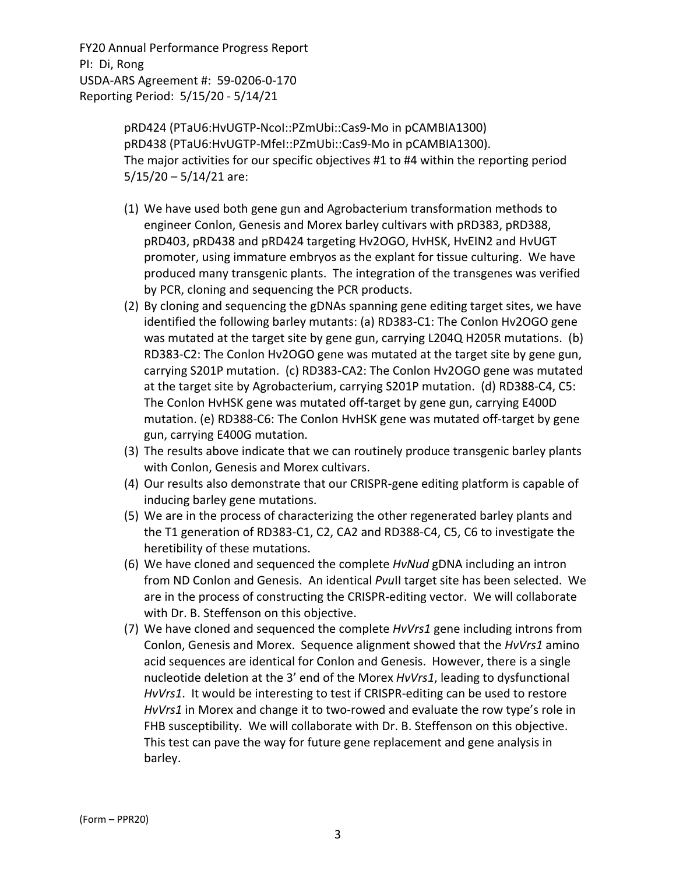> pRD424 (PTaU6:HvUGTP‐NcoI::PZmUbi::Cas9‐Mo in pCAMBIA1300) pRD438 (PTaU6:HvUGTP‐MfeI::PZmUbi::Cas9‐Mo in pCAMBIA1300). The major activities for our specific objectives #1 to #4 within the reporting period 5/15/20 – 5/14/21 are:

- (1) We have used both gene gun and Agrobacterium transformation methods to engineer Conlon, Genesis and Morex barley cultivars with pRD383, pRD388, pRD403, pRD438 and pRD424 targeting Hv2OGO, HvHSK, HvEIN2 and HvUGT promoter, using immature embryos as the explant for tissue culturing. We have produced many transgenic plants. The integration of the transgenes was verified by PCR, cloning and sequencing the PCR products.
- (2) By cloning and sequencing the gDNAs spanning gene editing target sites, we have identified the following barley mutants: (a) RD383‐C1: The Conlon Hv2OGO gene was mutated at the target site by gene gun, carrying L204Q H205R mutations. (b) RD383‐C2: The Conlon Hv2OGO gene was mutated at the target site by gene gun, carrying S201P mutation. (c) RD383‐CA2: The Conlon Hv2OGO gene was mutated at the target site by Agrobacterium, carrying S201P mutation. (d) RD388‐C4, C5: The Conlon HvHSK gene was mutated off‐target by gene gun, carrying E400D mutation. (e) RD388‐C6: The Conlon HvHSK gene was mutated off‐target by gene gun, carrying E400G mutation.
- (3) The results above indicate that we can routinely produce transgenic barley plants with Conlon, Genesis and Morex cultivars.
- (4) Our results also demonstrate that our CRISPR‐gene editing platform is capable of inducing barley gene mutations.
- (5) We are in the process of characterizing the other regenerated barley plants and the T1 generation of RD383‐C1, C2, CA2 and RD388‐C4, C5, C6 to investigate the heretibility of these mutations.
- (6) We have cloned and sequenced the complete *HvNud* gDNA including an intron from ND Conlon and Genesis. An identical *Pvu*II target site has been selected. We are in the process of constructing the CRISPR‐editing vector. We will collaborate with Dr. B. Steffenson on this objective.
- (7) We have cloned and sequenced the complete *HvVrs1* gene including introns from Conlon, Genesis and Morex. Sequence alignment showed that the *HvVrs1* amino acid sequences are identical for Conlon and Genesis. However, there is a single nucleotide deletion at the 3' end of the Morex *HvVrs1*, leading to dysfunctional *HvVrs1*. It would be interesting to test if CRISPR‐editing can be used to restore *HvVrs1* in Morex and change it to two‐rowed and evaluate the row type's role in FHB susceptibility. We will collaborate with Dr. B. Steffenson on this objective. This test can pave the way for future gene replacement and gene analysis in barley.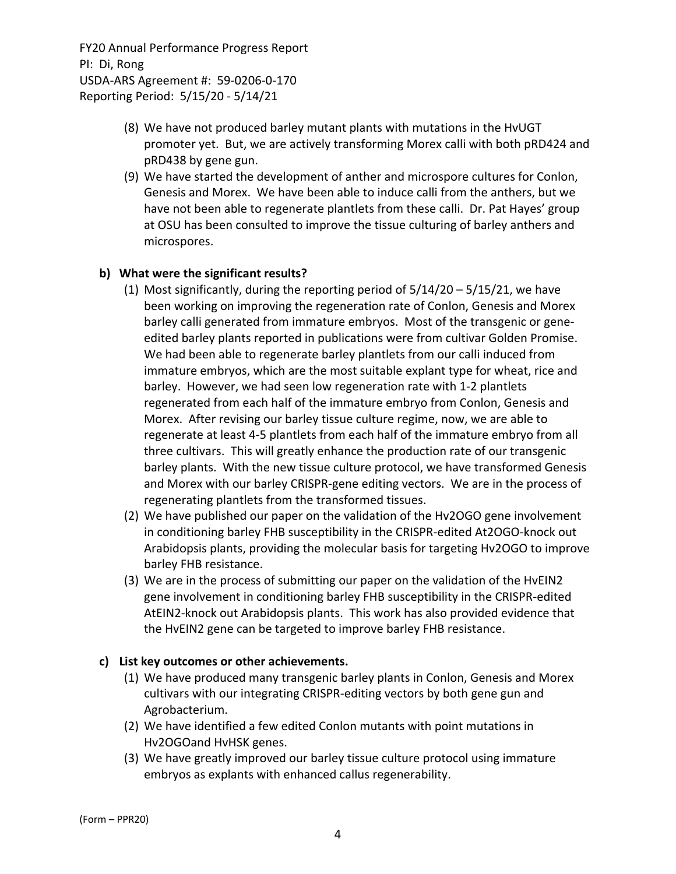- (8) We have not produced barley mutant plants with mutations in the HvUGT promoter yet. But, we are actively transforming Morex calli with both pRD424 and pRD438 by gene gun.
- (9) We have started the development of anther and microspore cultures for Conlon, Genesis and Morex. We have been able to induce calli from the anthers, but we have not been able to regenerate plantlets from these calli. Dr. Pat Hayes' group at OSU has been consulted to improve the tissue culturing of barley anthers and microspores.

## **b) What were the significant results?**

- (1) Most significantly, during the reporting period of 5/14/20 5/15/21, we have been working on improving the regeneration rate of Conlon, Genesis and Morex barley calli generated from immature embryos. Most of the transgenic or gene‐ edited barley plants reported in publications were from cultivar Golden Promise. We had been able to regenerate barley plantlets from our calli induced from immature embryos, which are the most suitable explant type for wheat, rice and barley. However, we had seen low regeneration rate with 1‐2 plantlets regenerated from each half of the immature embryo from Conlon, Genesis and Morex. After revising our barley tissue culture regime, now, we are able to regenerate at least 4‐5 plantlets from each half of the immature embryo from all three cultivars. This will greatly enhance the production rate of our transgenic barley plants. With the new tissue culture protocol, we have transformed Genesis and Morex with our barley CRISPR‐gene editing vectors. We are in the process of regenerating plantlets from the transformed tissues.
- (2) We have published our paper on the validation of the Hv2OGO gene involvement in conditioning barley FHB susceptibility in the CRISPR‐edited At2OGO‐knock out Arabidopsis plants, providing the molecular basis for targeting Hv2OGO to improve barley FHB resistance.
- (3) We are in the process of submitting our paper on the validation of the HvEIN2 gene involvement in conditioning barley FHB susceptibility in the CRISPR‐edited AtEIN2‐knock out Arabidopsis plants. This work has also provided evidence that the HvEIN2 gene can be targeted to improve barley FHB resistance.

#### **c) List key outcomes or other achievements.**

- (1) We have produced many transgenic barley plants in Conlon, Genesis and Morex cultivars with our integrating CRISPR‐editing vectors by both gene gun and Agrobacterium.
- (2) We have identified a few edited Conlon mutants with point mutations in Hv2OGOand HvHSK genes.
- (3) We have greatly improved our barley tissue culture protocol using immature embryos as explants with enhanced callus regenerability.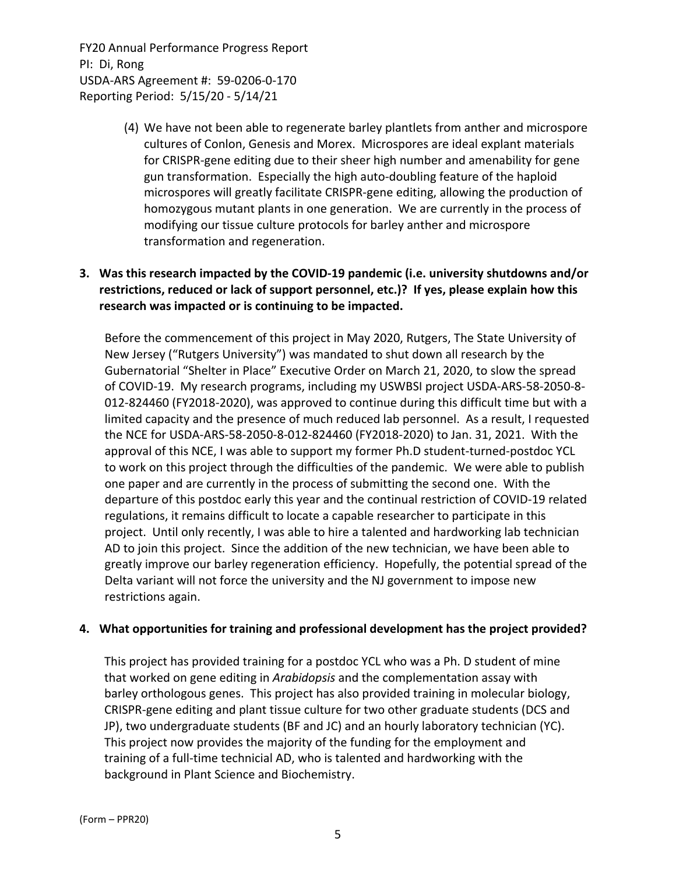> (4) We have not been able to regenerate barley plantlets from anther and microspore cultures of Conlon, Genesis and Morex. Microspores are ideal explant materials for CRISPR‐gene editing due to their sheer high number and amenability for gene gun transformation. Especially the high auto‐doubling feature of the haploid microspores will greatly facilitate CRISPR‐gene editing, allowing the production of homozygous mutant plants in one generation. We are currently in the process of modifying our tissue culture protocols for barley anther and microspore transformation and regeneration.

## **3. Was this research impacted by the COVID‐19 pandemic (i.e. university shutdowns and/or restrictions, reduced or lack of support personnel, etc.)? If yes, please explain how this research was impacted or is continuing to be impacted.**

Before the commencement of this project in May 2020, Rutgers, The State University of New Jersey ("Rutgers University") was mandated to shut down all research by the Gubernatorial "Shelter in Place" Executive Order on March 21, 2020, to slow the spread of COVID‐19. My research programs, including my USWBSI project USDA‐ARS‐58‐2050‐8‐ 012‐824460 (FY2018‐2020), was approved to continue during this difficult time but with a limited capacity and the presence of much reduced lab personnel. As a result, I requested the NCE for USDA‐ARS‐58‐2050‐8‐012‐824460 (FY2018‐2020) to Jan. 31, 2021. With the approval of this NCE, I was able to support my former Ph.D student-turned-postdoc YCL to work on this project through the difficulties of the pandemic. We were able to publish one paper and are currently in the process of submitting the second one. With the departure of this postdoc early this year and the continual restriction of COVID‐19 related regulations, it remains difficult to locate a capable researcher to participate in this project. Until only recently, I was able to hire a talented and hardworking lab technician AD to join this project. Since the addition of the new technician, we have been able to greatly improve our barley regeneration efficiency. Hopefully, the potential spread of the Delta variant will not force the university and the NJ government to impose new restrictions again.

## **4. What opportunities for training and professional development has the project provided?**

This project has provided training for a postdoc YCL who was a Ph. D student of mine that worked on gene editing in *Arabidopsis* and the complementation assay with barley orthologous genes. This project has also provided training in molecular biology, CRISPR‐gene editing and plant tissue culture for two other graduate students (DCS and JP), two undergraduate students (BF and JC) and an hourly laboratory technician (YC). This project now provides the majority of the funding for the employment and training of a full‐time technicial AD, who is talented and hardworking with the background in Plant Science and Biochemistry.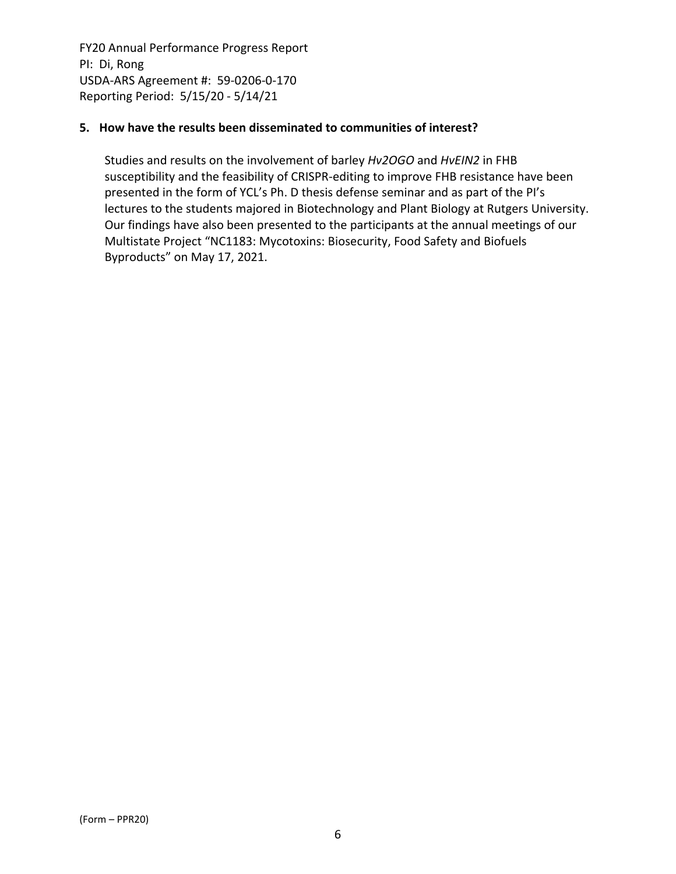## **5. How have the results been disseminated to communities of interest?**

Studies and results on the involvement of barley *Hv2OGO* and *HvEIN2* in FHB susceptibility and the feasibility of CRISPR-editing to improve FHB resistance have been presented in the form of YCL's Ph. D thesis defense seminar and as part of the PI's lectures to the students majored in Biotechnology and Plant Biology at Rutgers University. Our findings have also been presented to the participants at the annual meetings of our Multistate Project "NC1183: Mycotoxins: Biosecurity, Food Safety and Biofuels Byproducts" on May 17, 2021.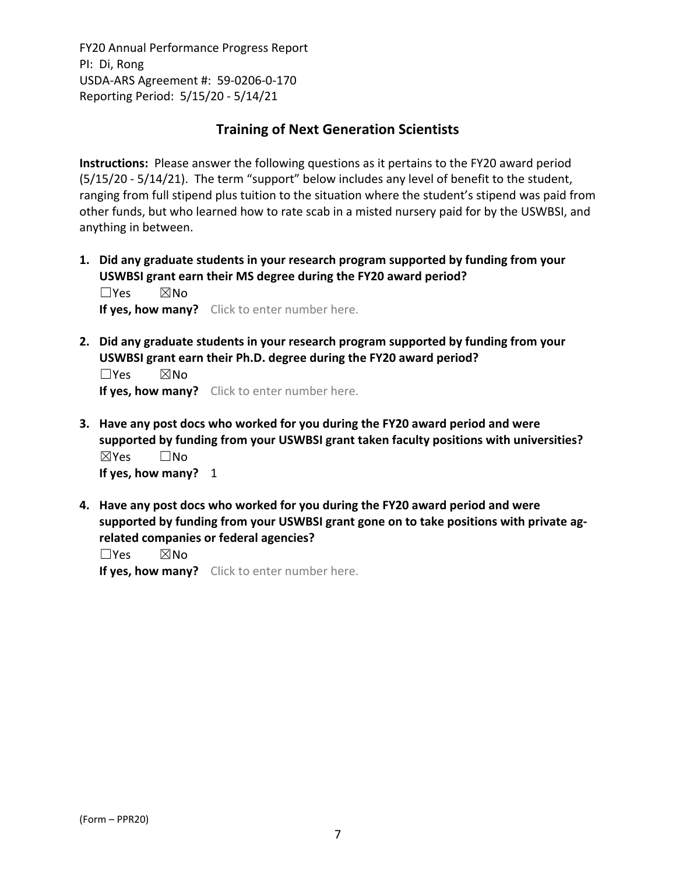# **Training of Next Generation Scientists**

**Instructions:** Please answer the following questions as it pertains to the FY20 award period (5/15/20 ‐ 5/14/21). The term "support" below includes any level of benefit to the student, ranging from full stipend plus tuition to the situation where the student's stipend was paid from other funds, but who learned how to rate scab in a misted nursery paid for by the USWBSI, and anything in between.

**1. Did any graduate students in your research program supported by funding from your USWBSI grant earn their MS degree during the FY20 award period?** ☐Yes ☒No

**If yes, how many?** Click to enter number here.

**2. Did any graduate students in your research program supported by funding from your USWBSI grant earn their Ph.D. degree during the FY20 award period?**

☐Yes ☒No **If yes, how many?** Click to enter number here.

- **3. Have any post docs who worked for you during the FY20 award period and were supported by funding from your USWBSI grant taken faculty positions with universities?** ☒Yes ☐No **If yes, how many?** 1
- **4. Have any post docs who worked for you during the FY20 award period and were supported by funding from your USWBSI grant gone on to take positions with private ag‐ related companies or federal agencies?**

☐Yes ☒No

**If yes, how many?** Click to enter number here.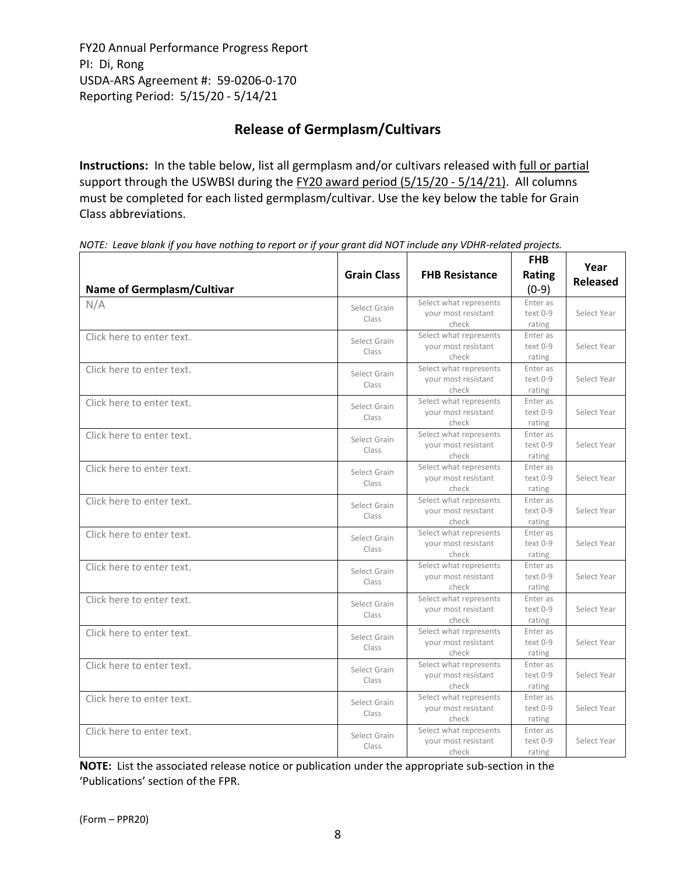# **Release of Germplasm/Cultivars**

**Instructions:** In the table below, list all germplasm and/or cultivars released with full or partial support through the USWBSI during the FY20 award period (5/15/20 - 5/14/21). All columns must be completed for each listed germplasm/cultivar. Use the key below the table for Grain Class abbreviations. 

| Name of Germplasm/Cultivar | <b>Grain Class</b>    | <b>FHB Resistance</b>                                  | <b>FHB</b><br>Rating<br>$(0-9)$  | Year<br><b>Released</b> |
|----------------------------|-----------------------|--------------------------------------------------------|----------------------------------|-------------------------|
| N/A                        | Select Grain<br>Class | Select what represents<br>your most resistant<br>check | Enter as<br>$text 0-9$<br>rating | Select Year             |
| Click here to enter text.  | Select Grain<br>Class | Select what represents<br>your most resistant<br>check | Enter as<br>text 0-9<br>rating   | Select Year             |
| Click here to enter text.  | Select Grain<br>Class | Select what represents<br>your most resistant<br>check | Enter as<br>text 0-9<br>rating   | Select Year             |
| Click here to enter text.  | Select Grain<br>Class | Select what represents<br>your most resistant<br>check | Enter as<br>text 0-9<br>rating   | Select Year             |
| Click here to enter text.  | Select Grain<br>Class | Select what represents<br>your most resistant<br>check | Enter as<br>text 0-9<br>rating   | Select Year             |
| Click here to enter text.  | Select Grain<br>Class | Select what represents<br>your most resistant<br>check | Enter as<br>text 0-9<br>rating   | Select Year             |
| Click here to enter text.  | Select Grain<br>Class | Select what represents<br>your most resistant<br>check | Enter as<br>text 0-9<br>rating   | Select Year             |
| Click here to enter text.  | Select Grain<br>Class | Select what represents<br>your most resistant<br>check | Enter as<br>text 0-9<br>rating   | Select Year             |
| Click here to enter text.  | Select Grain<br>Class | Select what represents<br>your most resistant<br>check | Enter as<br>text 0-9<br>rating   | Select Year             |
| Click here to enter text.  | Select Grain<br>Class | Select what represents<br>your most resistant<br>check | Enter as<br>text 0-9<br>rating   | Select Year             |
| Click here to enter text.  | Select Grain<br>Class | Select what represents<br>your most resistant<br>check | Enter as<br>text 0-9<br>rating   | Select Year             |
| Click here to enter text.  | Select Grain<br>Class | Select what represents<br>your most resistant<br>check | Enter as<br>text 0-9<br>rating   | Select Year             |
| Click here to enter text.  | Select Grain<br>Class | Select what represents<br>your most resistant<br>check | Enter as<br>text 0-9<br>rating   | Select Year             |
| Click here to enter text.  | Select Grain<br>Class | Select what represents<br>your most resistant<br>check | Enter as<br>text 0-9<br>rating   | Select Year             |

NOTE: Leave blank if you have nothing to report or if your grant did NOT include any VDHR-related projects.

**NOTE:** List the associated release notice or publication under the appropriate sub-section in the 'Publications' section of the FPR.